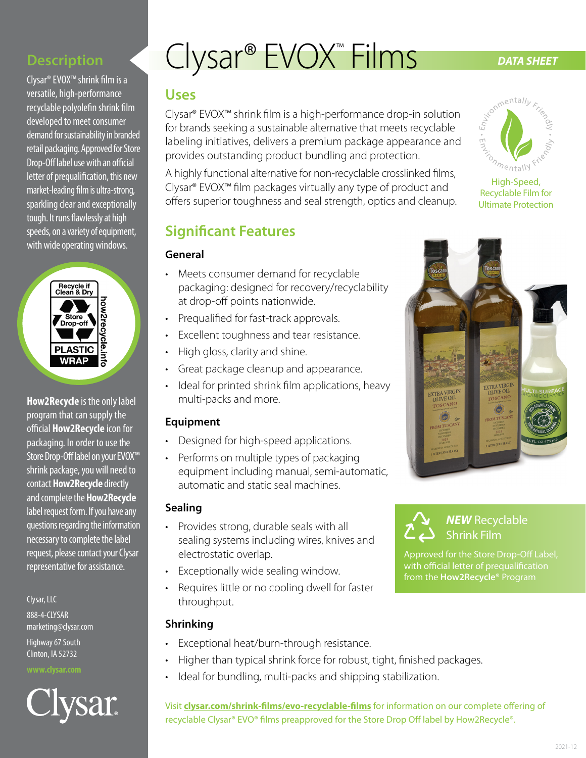### **Description**

Clysar® EVOX™ shrink film is a versatile, high-performance recyclable polyolefin shrink film developed to meet consumer demand for sustainability in branded retail packaging. Approved for Store Drop-Off label use with an official letter of prequalification, this new market-leading film is ultra-strong, sparkling clear and exceptionally tough. It runs flawlessly at high speeds, on a variety of equipment, with wide operating windows.



**How2Recycle** is the only label program that can supply the official **How2Recycle** icon for packaging. In order to use the Store Drop-Off label on your EVOX™ shrink package, you will need to contact **How2Recycle** directly and complete the **How2Recycle** label request form. If you have any questions regarding the information necessary to complete the label request, please contact your Clysar representative for assistance.

Clysar, LLC

888-4-CLYSAR marketing@clysar.com

Highway 67 South Clinton, IA 52732

#### **www.clysar.com**



# Clysar<sup>®</sup> EVOX<sup>™</sup> Films DATA SHEET

# **Uses**

Clysar® EVOX™ shrink film is a high-performance drop-in solution for brands seeking a sustainable alternative that meets recyclable labeling initiatives, delivers a premium package appearance and provides outstanding product bundling and protection.

A highly functional alternative for non-recyclable crosslinked films, Clysar® EVOX™ film packages virtually any type of product and offers superior toughness and seal strength, optics and cleanup.

# **Significant Features**

#### **General**

- Meets consumer demand for recyclable packaging: designed for recovery/recyclability at drop-off points nationwide.
- Prequalified for fast-track approvals.
- Excellent toughness and tear resistance.
- High gloss, clarity and shine.
- Great package cleanup and appearance.
- Ideal for printed shrink film applications, heavy multi-packs and more.

#### **Equipment**

- Designed for high-speed applications.
- Performs on multiple types of packaging equipment including manual, semi-automatic, automatic and static seal machines.

#### **Sealing**

- Provides strong, durable seals with all sealing systems including wires, knives and electrostatic overlap.
- Exceptionally wide sealing window.
- Requires little or no cooling dwell for faster throughput.

#### **Shrinking**

- Exceptional heat/burn-through resistance.
- Higher than typical shrink force for robust, tight, finished packages.
- Ideal for bundling, multi-packs and shipping stabilization.

Visit **[clysar.com/shrink-films/evo-recyclable-films](http://clysar.com/shrink-films/evo-recyclable-films)** for information on our complete offering of recyclable Clysar® EVO® films preapproved for the Store Drop Off label by How2Recycle®.



High-Speed, Recyclable Film for Ultimate Protection



*NEW* Recyclable Shrink Film

Approved for the Store Drop-Off Label, with official letter of prequalification from the **How2Recycle®** Program